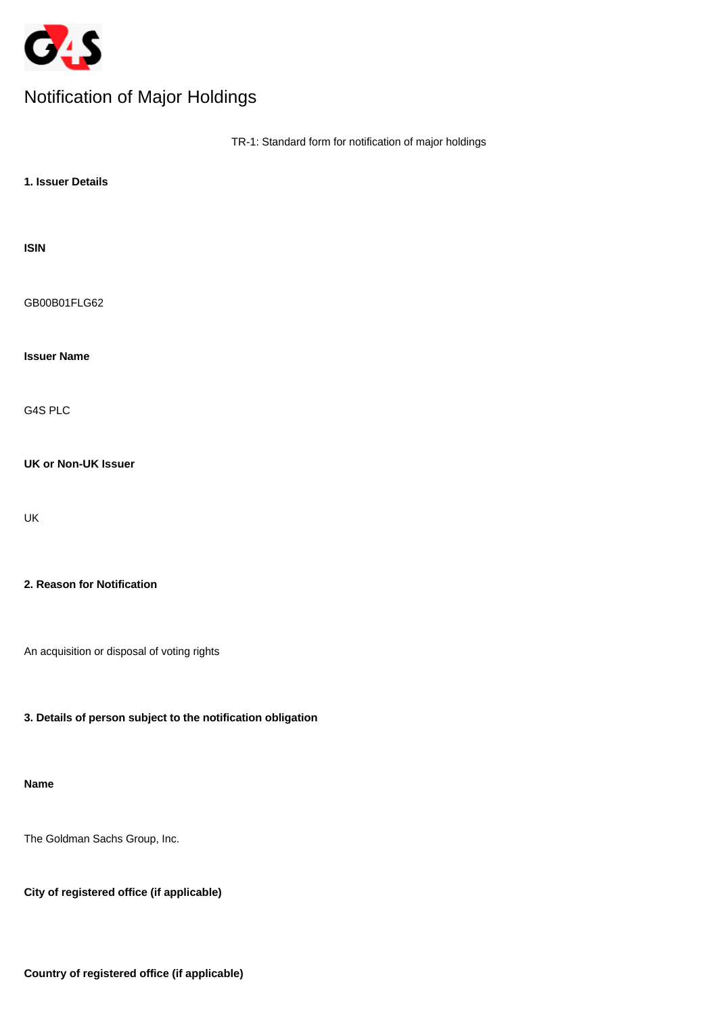

# Notification of Major Holdings

|                                                             | TR-1: Standard form for notification of major holdings |
|-------------------------------------------------------------|--------------------------------------------------------|
| 1. Issuer Details                                           |                                                        |
| <b>ISIN</b>                                                 |                                                        |
| GB00B01FLG62                                                |                                                        |
| <b>Issuer Name</b>                                          |                                                        |
| G4S PLC                                                     |                                                        |
| <b>UK or Non-UK Issuer</b>                                  |                                                        |
| UK                                                          |                                                        |
| 2. Reason for Notification                                  |                                                        |
| An acquisition or disposal of voting rights                 |                                                        |
| 3. Details of person subject to the notification obligation |                                                        |

# **Name**

The Goldman Sachs Group, Inc.

**City of registered office (if applicable)**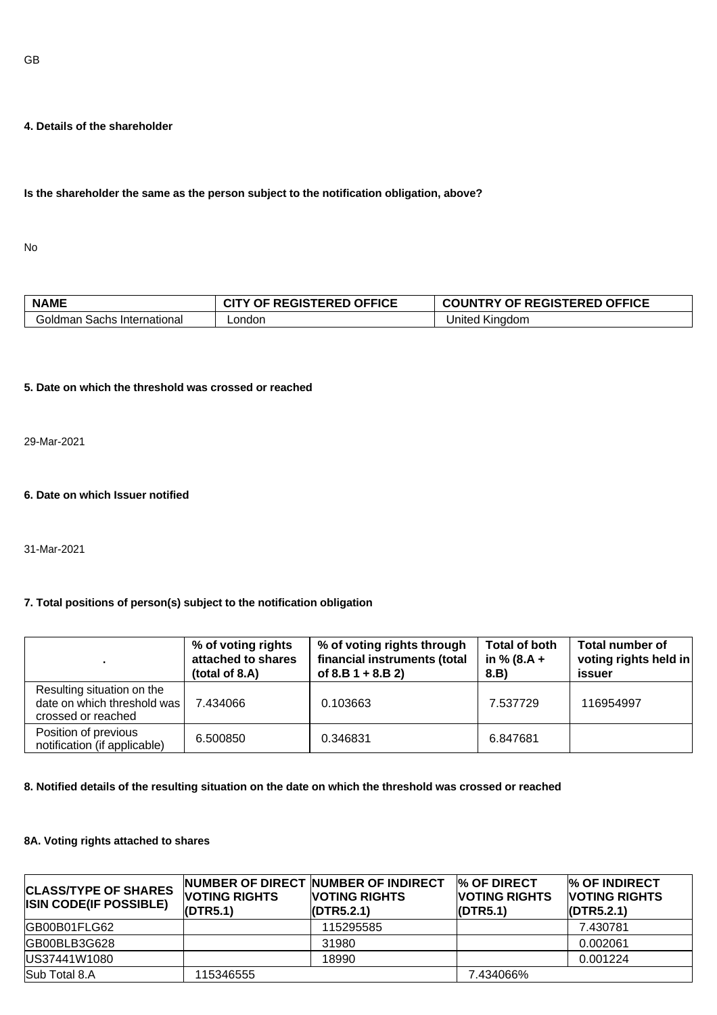#### **4. Details of the shareholder**

#### **Is the shareholder the same as the person subject to the notification obligation, above?**

No

| <b>NAME</b>                     | <b>REGISTERED OFFICE</b><br>ΩF | <b>OF REGISTERED OFFICE</b><br><b>CUNTRY</b> |
|---------------------------------|--------------------------------|----------------------------------------------|
| Goldman<br>⊦Sachs International | ∟ondon                         | United<br>. Kinadom                          |

#### **5. Date on which the threshold was crossed or reached**

29-Mar-2021

#### **6. Date on which Issuer notified**

31-Mar-2021

#### **7. Total positions of person(s) subject to the notification obligation**

|                                                                                 | % of voting rights<br>attached to shares<br>(total of 8.A) | % of voting rights through<br>financial instruments (total<br>of $8.B 1 + 8.B 2$ | Total of both<br>in % (8.A +<br>8.B) | Total number of<br>voting rights held in<br>issuer |
|---------------------------------------------------------------------------------|------------------------------------------------------------|----------------------------------------------------------------------------------|--------------------------------------|----------------------------------------------------|
| Resulting situation on the<br>date on which threshold was<br>crossed or reached | 7.434066                                                   | 0.103663                                                                         | 7.537729                             | 116954997                                          |
| Position of previous<br>notification (if applicable)                            | 6.500850                                                   | 0.346831                                                                         | 6.847681                             |                                                    |

## **8. Notified details of the resulting situation on the date on which the threshold was crossed or reached**

#### **8A. Voting rights attached to shares**

| <b>CLASS/TYPE OF SHARES</b><br><b>ISIN CODE(IF POSSIBLE)</b> | <b>VOTING RIGHTS</b><br>(DTR5.1) | NUMBER OF DIRECT NUMBER OF INDIRECT<br><b>VOTING RIGHTS</b><br>$\langle$ DTR5.2.1) | <b>% OF DIRECT</b><br><b>VOTING RIGHTS</b><br>(DTR5.1) | <b>% OF INDIRECT</b><br><b>VOTING RIGHTS</b><br>$\langle$ DTR5.2.1) |
|--------------------------------------------------------------|----------------------------------|------------------------------------------------------------------------------------|--------------------------------------------------------|---------------------------------------------------------------------|
| GB00B01FLG62                                                 |                                  | 115295585                                                                          |                                                        | 7.430781                                                            |
| GB00BLB3G628                                                 |                                  | 31980                                                                              |                                                        | 0.002061                                                            |
| US37441W1080                                                 |                                  | 18990                                                                              |                                                        | 0.001224                                                            |
| Sub Total 8.A                                                | 115346555                        |                                                                                    | 7.434066%                                              |                                                                     |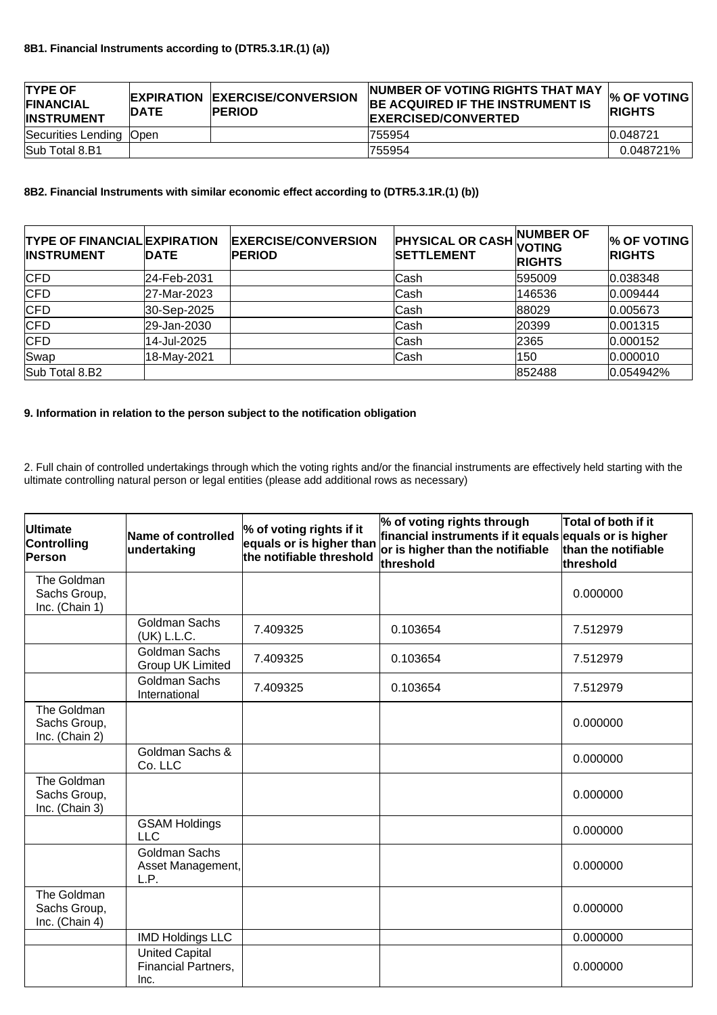| <b>TYPE OF</b><br><b>FINANCIAL</b><br><b>INSTRUMENT</b> | <b>IDATE</b> | <b>EXPIRATION EXERCISE/CONVERSION</b><br><b>PERIOD</b> | NUMBER OF VOTING RIGHTS THAT MAY<br><b>BE ACQUIRED IF THE INSTRUMENT IS</b><br><b>EXERCISED/CONVERTED</b> | $\%$ OF VOTING<br><b>RIGHTS</b> |
|---------------------------------------------------------|--------------|--------------------------------------------------------|-----------------------------------------------------------------------------------------------------------|---------------------------------|
| Securities Lending  Open                                |              |                                                        | 755954                                                                                                    | 0.048721                        |
| Sub Total 8.B1                                          |              |                                                        | 755954                                                                                                    | 0.048721%                       |

# **8B2. Financial Instruments with similar economic effect according to (DTR5.3.1R.(1) (b))**

| <b>TYPE OF FINANCIAL EXPIRATION</b><br><b>INSTRUMENT</b> | <b>DATE</b> | <b>EXERCISE/CONVERSION</b><br><b>PERIOD</b> | <b>PHYSICAL OR CASH VOTING</b><br><b>SETTLEMENT</b> | NUMBER OF<br><b>RIGHTS</b> | $\%$ OF VOTING<br><b>RIGHTS</b> |
|----------------------------------------------------------|-------------|---------------------------------------------|-----------------------------------------------------|----------------------------|---------------------------------|
| CFD                                                      | 24-Feb-2031 |                                             | lCash                                               | 595009                     | 0.038348                        |
| CFD                                                      | 27-Mar-2023 |                                             | <b>ICash</b>                                        | 146536                     | 0.009444                        |
| CFD                                                      | 30-Sep-2025 |                                             | lCash                                               | 88029                      | 0.005673                        |
| CFD                                                      | 29-Jan-2030 |                                             | lCash                                               | 20399                      | 0.001315                        |
| CFD                                                      | 14-Jul-2025 |                                             | <b>ICash</b>                                        | 2365                       | 0.000152                        |
| Swap                                                     | 18-May-2021 |                                             | Cash                                                | 150                        | 0.000010                        |
| Sub Total 8.B2                                           |             |                                             |                                                     | 852488                     | 0.054942%                       |

#### **9. Information in relation to the person subject to the notification obligation**

2. Full chain of controlled undertakings through which the voting rights and/or the financial instruments are effectively held starting with the ultimate controlling natural person or legal entities (please add additional rows as necessary)

| <b>Ultimate</b><br>Controlling<br>Person      | <b>Name of controlled</b><br>undertaking             | % of voting rights if it<br>$ $ equals or is higher than<br>the notifiable threshold | % of voting rights through<br>financial instruments if it equals equals or is higher<br>or is higher than the notifiable<br>threshold | Total of both if it<br>than the notifiable<br>threshold |
|-----------------------------------------------|------------------------------------------------------|--------------------------------------------------------------------------------------|---------------------------------------------------------------------------------------------------------------------------------------|---------------------------------------------------------|
| The Goldman<br>Sachs Group,<br>Inc. (Chain 1) |                                                      |                                                                                      |                                                                                                                                       | 0.000000                                                |
|                                               | Goldman Sachs<br>(UK) L.L.C.                         | 7.409325                                                                             | 0.103654                                                                                                                              | 7.512979                                                |
|                                               | Goldman Sachs<br>Group UK Limited                    | 7.409325                                                                             | 0.103654                                                                                                                              | 7.512979                                                |
|                                               | Goldman Sachs<br>International                       | 7.409325                                                                             | 0.103654                                                                                                                              | 7.512979                                                |
| The Goldman<br>Sachs Group,<br>Inc. (Chain 2) |                                                      |                                                                                      |                                                                                                                                       | 0.000000                                                |
|                                               | Goldman Sachs &<br>Co. LLC                           |                                                                                      |                                                                                                                                       | 0.000000                                                |
| The Goldman<br>Sachs Group,<br>Inc. (Chain 3) |                                                      |                                                                                      |                                                                                                                                       | 0.000000                                                |
|                                               | <b>GSAM Holdings</b><br><b>LLC</b>                   |                                                                                      |                                                                                                                                       | 0.000000                                                |
|                                               | <b>Goldman Sachs</b><br>Asset Management,<br>L.P.    |                                                                                      |                                                                                                                                       | 0.000000                                                |
| The Goldman<br>Sachs Group,<br>Inc. (Chain 4) |                                                      |                                                                                      |                                                                                                                                       | 0.000000                                                |
|                                               | <b>IMD Holdings LLC</b>                              |                                                                                      |                                                                                                                                       | 0.000000                                                |
|                                               | <b>United Capital</b><br>Financial Partners,<br>Inc. |                                                                                      |                                                                                                                                       | 0.000000                                                |